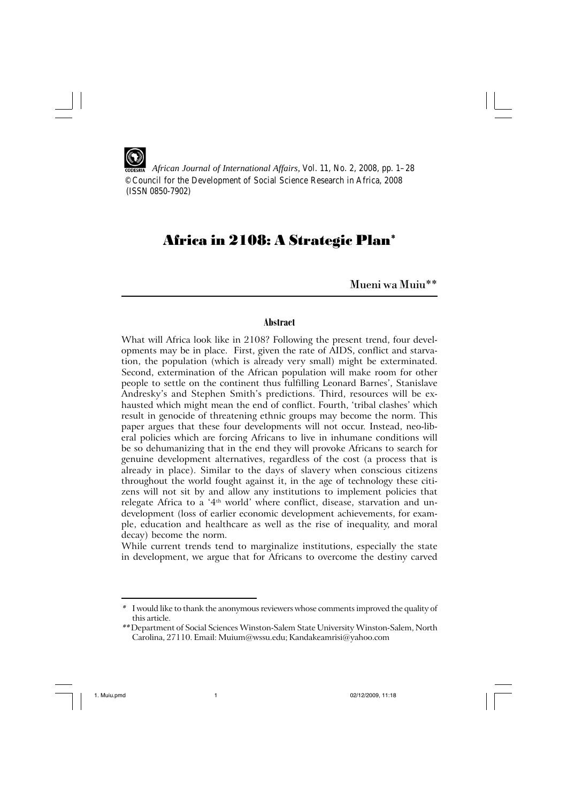*African Journal of International Affairs,* Vol. 11, No. 2, 2008, pp. 1–28 © Council for the Development of Social Science Research in Africa, 2008 (ISSN 0850-7902)

# Africa in 2108: A Strategic Plan\*

Mueni wa Muiu\*\*

### **Abstract**

What will Africa look like in 2108? Following the present trend, four developments may be in place. First, given the rate of AIDS, conflict and starvation, the population (which is already very small) might be exterminated. Second, extermination of the African population will make room for other people to settle on the continent thus fulfilling Leonard Barnes', Stanislave Andresky's and Stephen Smith's predictions. Third, resources will be exhausted which might mean the end of conflict. Fourth, 'tribal clashes' which result in genocide of threatening ethnic groups may become the norm. This paper argues that these four developments will not occur. Instead, neo-liberal policies which are forcing Africans to live in inhumane conditions will be so dehumanizing that in the end they will provoke Africans to search for genuine development alternatives, regardless of the cost (a process that is already in place). Similar to the days of slavery when conscious citizens throughout the world fought against it, in the age of technology these citizens will not sit by and allow any institutions to implement policies that relegate Africa to a '4th world' where conflict, disease, starvation and undevelopment (loss of earlier economic development achievements, for example, education and healthcare as well as the rise of inequality, and moral decay) become the norm.

While current trends tend to marginalize institutions, especially the state in development, we argue that for Africans to overcome the destiny carved

*<sup>\*</sup>* I would like to thank the anonymous reviewers whose comments improved the quality of this article.

*<sup>\*\*</sup>* Department of Social Sciences Winston-Salem State University Winston-Salem, North Carolina, 27110. Email: Muium@wssu.edu; Kandakeamrisi@yahoo.com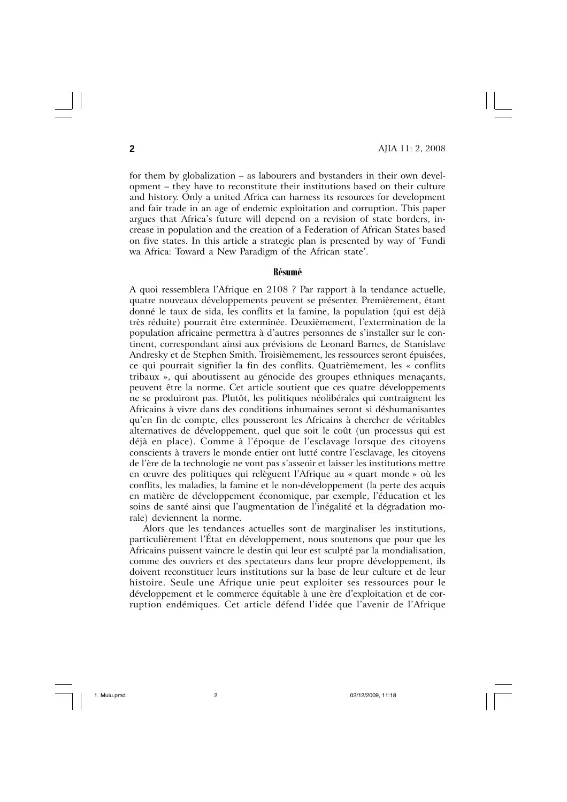for them by globalization – as labourers and bystanders in their own development – they have to reconstitute their institutions based on their culture and history. Only a united Africa can harness its resources for development and fair trade in an age of endemic exploitation and corruption. This paper argues that Africa's future will depend on a revision of state borders, increase in population and the creation of a Federation of African States based on five states. In this article a strategic plan is presented by way of 'Fundi wa Africa: Toward a New Paradigm of the African state'.

#### **Résumé**

A quoi ressemblera l'Afrique en 2108 ? Par rapport à la tendance actuelle, quatre nouveaux développements peuvent se présenter. Premièrement, étant donné le taux de sida, les conflits et la famine, la population (qui est déjà très réduite) pourrait être exterminée. Deuxièmement, l'extermination de la population africaine permettra à d'autres personnes de s'installer sur le continent, correspondant ainsi aux prévisions de Leonard Barnes, de Stanislave Andresky et de Stephen Smith. Troisièmement, les ressources seront épuisées, ce qui pourrait signifier la fin des conflits. Quatrièmement, les « conflits tribaux », qui aboutissent au génocide des groupes ethniques menaçants, peuvent être la norme. Cet article soutient que ces quatre développements ne se produiront pas. Plutôt, les politiques néolibérales qui contraignent les Africains à vivre dans des conditions inhumaines seront si déshumanisantes qu'en fin de compte, elles pousseront les Africains à chercher de véritables alternatives de développement, quel que soit le coût (un processus qui est déjà en place). Comme à l'époque de l'esclavage lorsque des citoyens conscients à travers le monde entier ont lutté contre l'esclavage, les citoyens de l'ère de la technologie ne vont pas s'asseoir et laisser les institutions mettre en œuvre des politiques qui relèguent l'Afrique au « quart monde » où les conflits, les maladies, la famine et le non-développement (la perte des acquis en matière de développement économique, par exemple, l'éducation et les soins de santé ainsi que l'augmentation de l'inégalité et la dégradation morale) deviennent la norme.

Alors que les tendances actuelles sont de marginaliser les institutions, particulièrement l'État en développement, nous soutenons que pour que les Africains puissent vaincre le destin qui leur est sculpté par la mondialisation, comme des ouvriers et des spectateurs dans leur propre développement, ils doivent reconstituer leurs institutions sur la base de leur culture et de leur histoire. Seule une Afrique unie peut exploiter ses ressources pour le développement et le commerce équitable à une ère d'exploitation et de corruption endémiques. Cet article défend l'idée que l'avenir de l'Afrique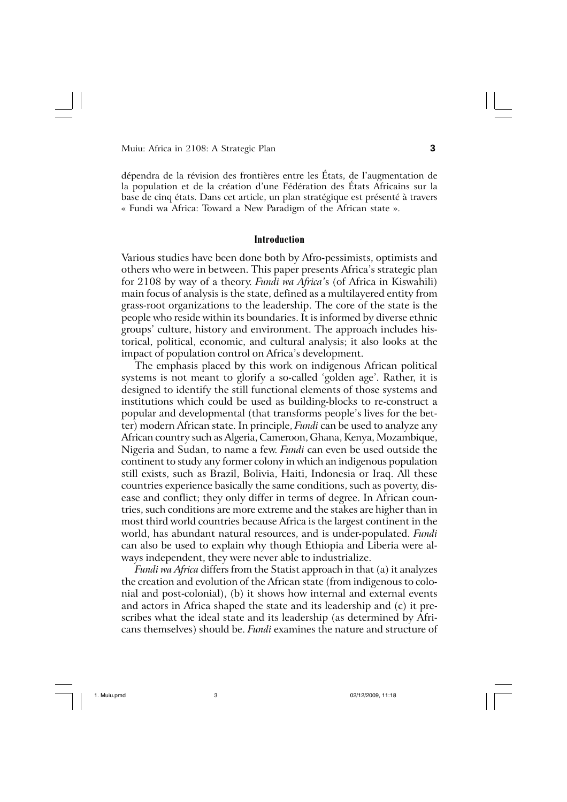dépendra de la révision des frontières entre les États, de l'augmentation de la population et de la création d'une Fédération des États Africains sur la base de cinq états. Dans cet article, un plan stratégique est présenté à travers « Fundi wa Africa: Toward a New Paradigm of the African state ».

#### **Introduction**

Various studies have been done both by Afro-pessimists, optimists and others who were in between. This paper presents Africa's strategic plan for 2108 by way of a theory. *Fundi wa Africa'*s (of Africa in Kiswahili) main focus of analysis is the state, defined as a multilayered entity from grass-root organizations to the leadership. The core of the state is the people who reside within its boundaries. It is informed by diverse ethnic groups' culture, history and environment. The approach includes historical, political, economic, and cultural analysis; it also looks at the impact of population control on Africa's development.

The emphasis placed by this work on indigenous African political systems is not meant to glorify a so-called 'golden age'. Rather, it is designed to identify the still functional elements of those systems and institutions which could be used as building-blocks to re-construct a popular and developmental (that transforms people's lives for the better) modern African state. In principle, *Fundi* can be used to analyze any African country such as Algeria, Cameroon, Ghana, Kenya, Mozambique, Nigeria and Sudan, to name a few. *Fundi* can even be used outside the continent to study any former colony in which an indigenous population still exists, such as Brazil, Bolivia, Haiti, Indonesia or Iraq. All these countries experience basically the same conditions, such as poverty, disease and conflict; they only differ in terms of degree. In African countries, such conditions are more extreme and the stakes are higher than in most third world countries because Africa is the largest continent in the world, has abundant natural resources, and is under-populated. *Fundi* can also be used to explain why though Ethiopia and Liberia were always independent, they were never able to industrialize.

*Fundi wa Africa* differs from the Statist approach in that (a) it analyzes the creation and evolution of the African state (from indigenous to colonial and post-colonial), (b) it shows how internal and external events and actors in Africa shaped the state and its leadership and (c) it prescribes what the ideal state and its leadership (as determined by Africans themselves) should be. *Fundi* examines the nature and structure of

1. Muiu.pmd 3 02/12/2009, 11:18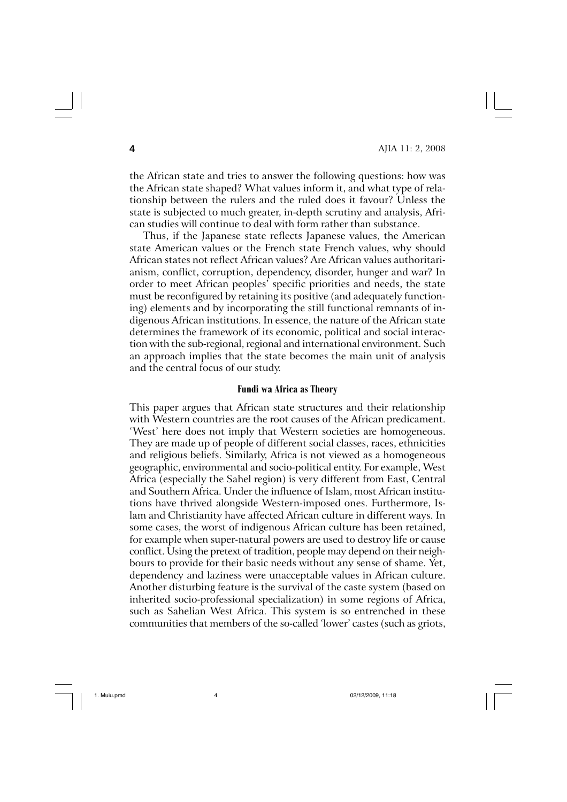the African state and tries to answer the following questions: how was the African state shaped? What values inform it, and what type of relationship between the rulers and the ruled does it favour? Unless the state is subjected to much greater, in-depth scrutiny and analysis, African studies will continue to deal with form rather than substance.

Thus, if the Japanese state reflects Japanese values, the American state American values or the French state French values, why should African states not reflect African values? Are African values authoritarianism, conflict, corruption, dependency, disorder, hunger and war? In order to meet African peoples' specific priorities and needs, the state must be reconfigured by retaining its positive (and adequately functioning) elements and by incorporating the still functional remnants of indigenous African institutions. In essence, the nature of the African state determines the framework of its economic, political and social interaction with the sub-regional, regional and international environment. Such an approach implies that the state becomes the main unit of analysis and the central focus of our study.

## **Fundi wa Africa as Theory**

This paper argues that African state structures and their relationship with Western countries are the root causes of the African predicament. 'West' here does not imply that Western societies are homogeneous. They are made up of people of different social classes, races, ethnicities and religious beliefs. Similarly, Africa is not viewed as a homogeneous geographic, environmental and socio-political entity. For example, West Africa (especially the Sahel region) is very different from East, Central and Southern Africa. Under the influence of Islam, most African institutions have thrived alongside Western-imposed ones. Furthermore, Islam and Christianity have affected African culture in different ways. In some cases, the worst of indigenous African culture has been retained, for example when super-natural powers are used to destroy life or cause conflict. Using the pretext of tradition, people may depend on their neighbours to provide for their basic needs without any sense of shame. Yet, dependency and laziness were unacceptable values in African culture. Another disturbing feature is the survival of the caste system (based on inherited socio-professional specialization) in some regions of Africa, such as Sahelian West Africa. This system is so entrenched in these communities that members of the so-called 'lower' castes (such as griots,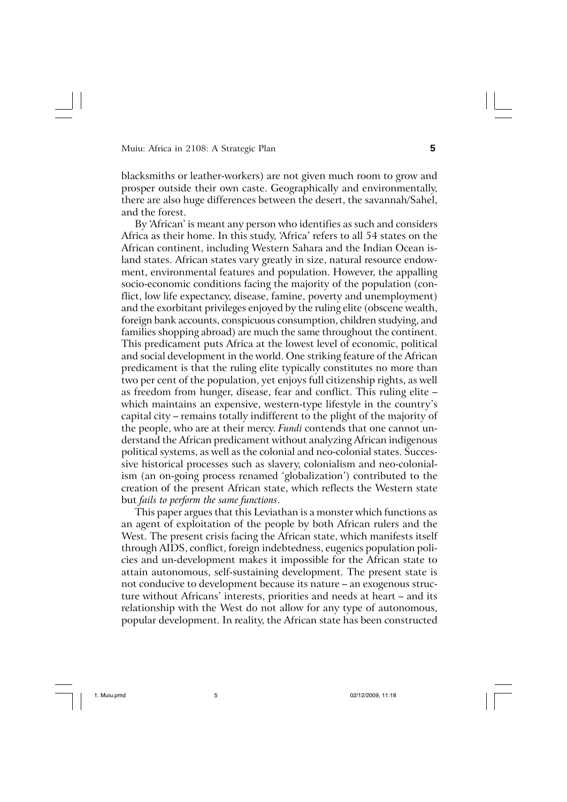blacksmiths or leather-workers) are not given much room to grow and prosper outside their own caste. Geographically and environmentally, there are also huge differences between the desert, the savannah/Sahel, and the forest.

By 'African' is meant any person who identifies as such and considers Africa as their home. In this study, 'Africa' refers to all 54 states on the African continent, including Western Sahara and the Indian Ocean island states. African states vary greatly in size, natural resource endowment, environmental features and population. However, the appalling socio-economic conditions facing the majority of the population (conflict, low life expectancy, disease, famine, poverty and unemployment) and the exorbitant privileges enjoyed by the ruling elite (obscene wealth, foreign bank accounts, conspicuous consumption, children studying, and families shopping abroad) are much the same throughout the continent. This predicament puts Africa at the lowest level of economic, political and social development in the world. One striking feature of the African predicament is that the ruling elite typically constitutes no more than two per cent of the population, yet enjoys full citizenship rights, as well as freedom from hunger, disease, fear and conflict. This ruling elite – which maintains an expensive, western-type lifestyle in the country's capital city – remains totally indifferent to the plight of the majority of the people, who are at their mercy. *Fundi* contends that one cannot understand the African predicament without analyzing African indigenous political systems, as well as the colonial and neo-colonial states. Successive historical processes such as slavery, colonialism and neo-colonialism (an on-going process renamed 'globalization') contributed to the creation of the present African state, which reflects the Western state but *fails to perform the same functions*.

This paper argues that this Leviathan is a monster which functions as an agent of exploitation of the people by both African rulers and the West. The present crisis facing the African state, which manifests itself through AIDS, conflict, foreign indebtedness, eugenics population policies and un-development makes it impossible for the African state to attain autonomous, self-sustaining development. The present state is not conducive to development because its nature – an exogenous structure without Africans' interests, priorities and needs at heart – and its relationship with the West do not allow for any type of autonomous, popular development. In reality, the African state has been constructed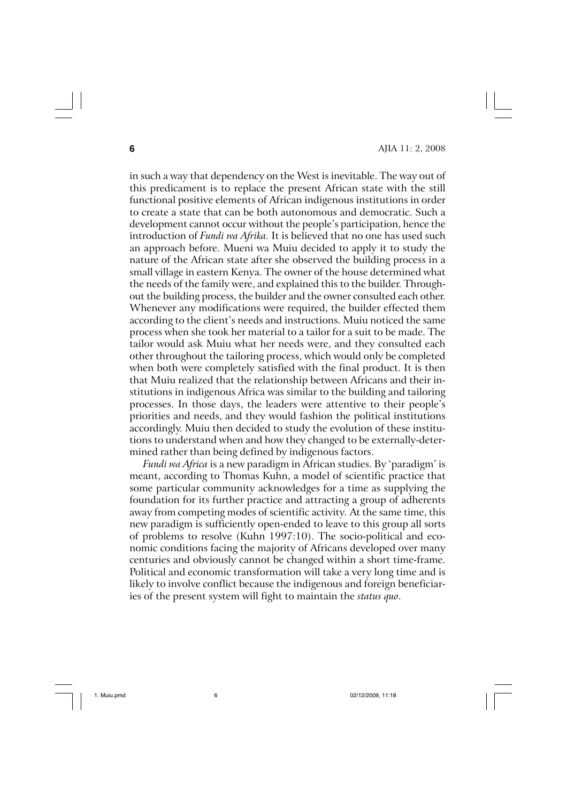**6** AJIA 11: 2, 2008

in such a way that dependency on the West is inevitable. The way out of this predicament is to replace the present African state with the still functional positive elements of African indigenous institutions in order to create a state that can be both autonomous and democratic. Such a development cannot occur without the people's participation, hence the introduction of *Fundi wa Afrika.* It is believed that no one has used such an approach before. Mueni wa Muiu decided to apply it to study the nature of the African state after she observed the building process in a small village in eastern Kenya. The owner of the house determined what the needs of the family were, and explained this to the builder. Throughout the building process, the builder and the owner consulted each other. Whenever any modifications were required, the builder effected them according to the client's needs and instructions. Muiu noticed the same process when she took her material to a tailor for a suit to be made. The tailor would ask Muiu what her needs were, and they consulted each other throughout the tailoring process, which would only be completed when both were completely satisfied with the final product. It is then that Muiu realized that the relationship between Africans and their institutions in indigenous Africa was similar to the building and tailoring processes. In those days, the leaders were attentive to their people's priorities and needs, and they would fashion the political institutions accordingly. Muiu then decided to study the evolution of these institutions to understand when and how they changed to be externally-determined rather than being defined by indigenous factors.

*Fundi wa Africa* is a new paradigm in African studies. By 'paradigm' is meant, according to Thomas Kuhn, a model of scientific practice that some particular community acknowledges for a time as supplying the foundation for its further practice and attracting a group of adherents away from competing modes of scientific activity*.* At the same time, this new paradigm is sufficiently open-ended to leave to this group all sorts of problems to resolve (Kuhn 1997:10). The socio-political and economic conditions facing the majority of Africans developed over many centuries and obviously cannot be changed within a short time-frame. Political and economic transformation will take a very long time and is likely to involve conflict because the indigenous and foreign beneficiaries of the present system will fight to maintain the *status quo*.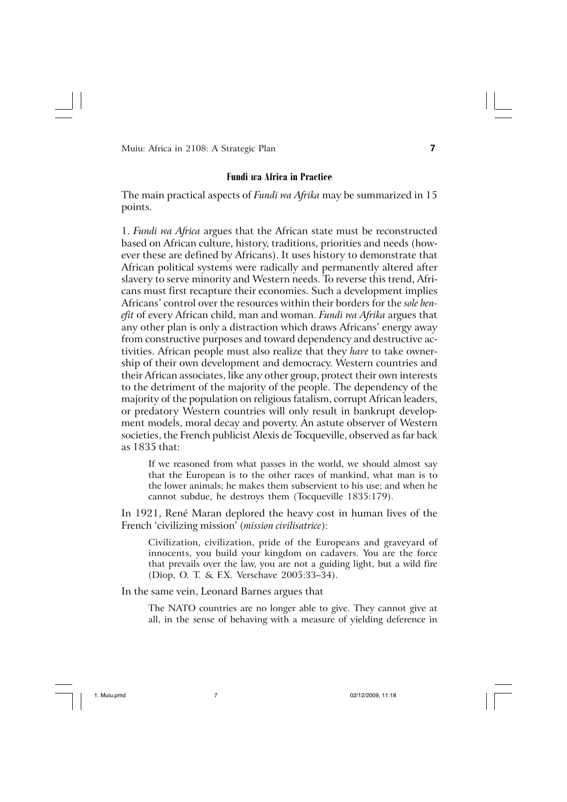## **Fundi** *w***a Africa in Practice**

The main practical aspects of *Fundi wa Afrika* may be summarized in 15 points.

1. *Fundi wa Africa* argues that the African state must be reconstructed based on African culture, history, traditions, priorities and needs (however these are defined by Africans). It uses history to demonstrate that African political systems were radically and permanently altered after slavery to serve minority and Western needs. To reverse this trend, Africans must first recapture their economies. Such a development implies Africans' control over the resources within their borders for the *sole benefit* of every African child, man and woman. *Fundi wa Afrika* argues that any other plan is only a distraction which draws Africans' energy away from constructive purposes and toward dependency and destructive activities. African people must also realize that they *have* to take ownership of their own development and democracy. Western countries and their African associates, like any other group, protect their own interests to the detriment of the majority of the people. The dependency of the majority of the population on religious fatalism, corrupt African leaders, or predatory Western countries will only result in bankrupt development models, moral decay and poverty. An astute observer of Western societies, the French publicist Alexis de Tocqueville, observed as far back as 1835 that:

If we reasoned from what passes in the world, we should almost say that the European is to the other races of mankind, what man is to the lower animals; he makes them subservient to his use; and when he cannot subdue, he destroys them (Tocqueville 1835:179).

In 1921, René Maran deplored the heavy cost in human lives of the French 'civilizing mission' (*mission civilisatrice*):

Civilization, civilization, pride of the Europeans and graveyard of innocents, you build your kingdom on cadavers. You are the force that prevails over the law, you are not a guiding light, but a wild fire (Diop, O. T. & F.X. Verschave 2005:33–34).

In the same vein, Leonard Barnes argues that

The NATO countries are no longer able to give. They cannot give at all, in the sense of behaving with a measure of yielding deference in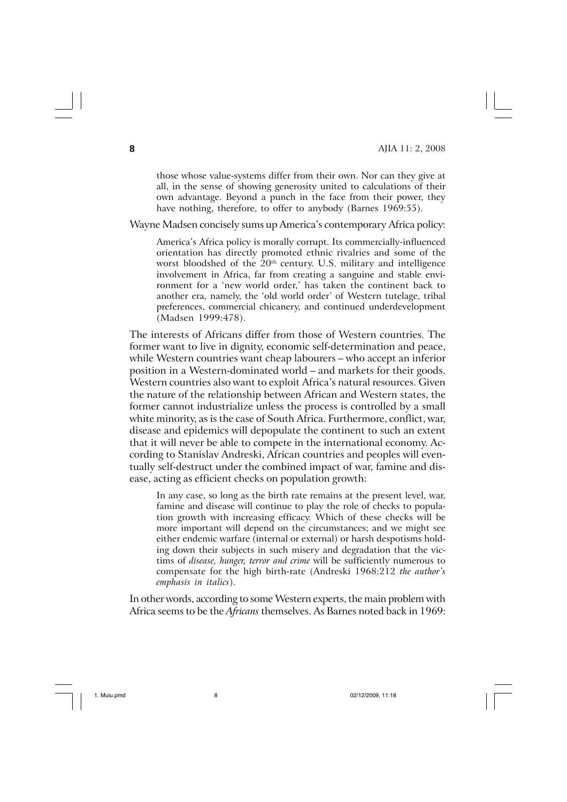those whose value-systems differ from their own. Nor can they give at all, in the sense of showing generosity united to calculations of their own advantage. Beyond a punch in the face from their power, they have nothing, therefore, to offer to anybody (Barnes 1969:55).

Wayne Madsen concisely sums up America's contemporary Africa policy:

America's Africa policy is morally corrupt. Its commercially-influenced orientation has directly promoted ethnic rivalries and some of the worst bloodshed of the  $20<sup>th</sup>$  century. U.S. military and intelligence involvement in Africa, far from creating a sanguine and stable environment for a 'new world order,' has taken the continent back to another era, namely, the 'old world order' of Western tutelage, tribal preferences, commercial chicanery, and continued underdevelopment (Madsen 1999:478).

The interests of Africans differ from those of Western countries. The former want to live in dignity, economic self-determination and peace, while Western countries want cheap labourers – who accept an inferior position in a Western-dominated world – and markets for their goods. Western countries also want to exploit Africa's natural resources. Given the nature of the relationship between African and Western states, the former cannot industrialize unless the process is controlled by a small white minority, as is the case of South Africa. Furthermore, conflict, war, disease and epidemics will depopulate the continent to such an extent that it will never be able to compete in the international economy. According to Stanislav Andreski, African countries and peoples will eventually self-destruct under the combined impact of war, famine and disease, acting as efficient checks on population growth:

In any case, so long as the birth rate remains at the present level, war, famine and disease will continue to play the role of checks to population growth with increasing efficacy. Which of these checks will be more important will depend on the circumstances; and we might see either endemic warfare (internal or external) or harsh despotisms holding down their subjects in such misery and degradation that the victims of *disease, hunger, terror and crime* will be sufficiently numerous to compensate for the high birth-rate (Andreski 1968:212 *the author's emphasis in italics*).

In other words, according to some Western experts, the main problem with Africa seems to be the *Africans* themselves. As Barnes noted back in 1969: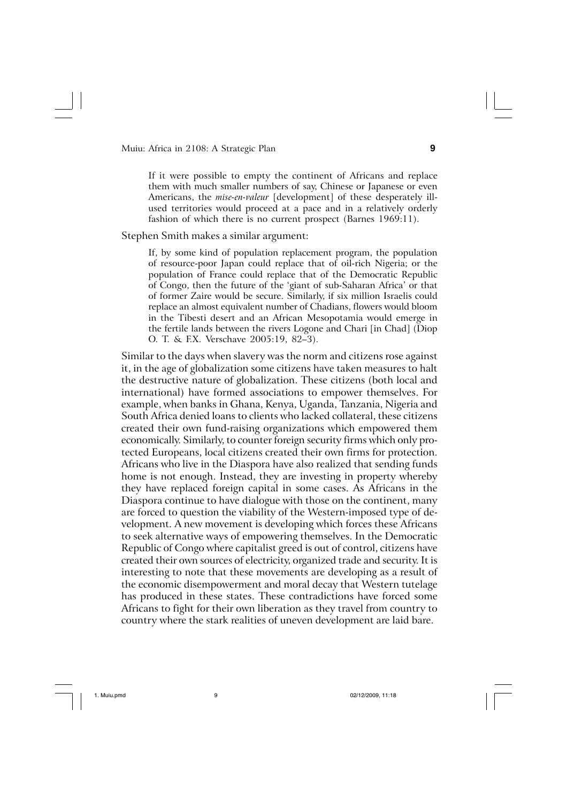If it were possible to empty the continent of Africans and replace them with much smaller numbers of say, Chinese or Japanese or even Americans, the *mise-en-valeur* [development] of these desperately illused territories would proceed at a pace and in a relatively orderly fashion of which there is no current prospect (Barnes 1969:11).

Stephen Smith makes a similar argument:

If, by some kind of population replacement program, the population of resource-poor Japan could replace that of oil-rich Nigeria; or the population of France could replace that of the Democratic Republic of Congo, then the future of the 'giant of sub-Saharan Africa' or that of former Zaire would be secure. Similarly, if six million Israelis could replace an almost equivalent number of Chadians, flowers would bloom in the Tibesti desert and an African Mesopotamia would emerge in the fertile lands between the rivers Logone and Chari [in Chad] (Diop O. T. & F.X. Verschave 2005:19, 82–3).

Similar to the days when slavery was the norm and citizens rose against it, in the age of globalization some citizens have taken measures to halt the destructive nature of globalization. These citizens (both local and international) have formed associations to empower themselves. For example, when banks in Ghana, Kenya, Uganda, Tanzania, Nigeria and South Africa denied loans to clients who lacked collateral, these citizens created their own fund-raising organizations which empowered them economically. Similarly, to counter foreign security firms which only protected Europeans, local citizens created their own firms for protection. Africans who live in the Diaspora have also realized that sending funds home is not enough. Instead, they are investing in property whereby they have replaced foreign capital in some cases. As Africans in the Diaspora continue to have dialogue with those on the continent, many are forced to question the viability of the Western-imposed type of development. A new movement is developing which forces these Africans to seek alternative ways of empowering themselves. In the Democratic Republic of Congo where capitalist greed is out of control, citizens have created their own sources of electricity, organized trade and security. It is interesting to note that these movements are developing as a result of the economic disempowerment and moral decay that Western tutelage has produced in these states. These contradictions have forced some Africans to fight for their own liberation as they travel from country to country where the stark realities of uneven development are laid bare.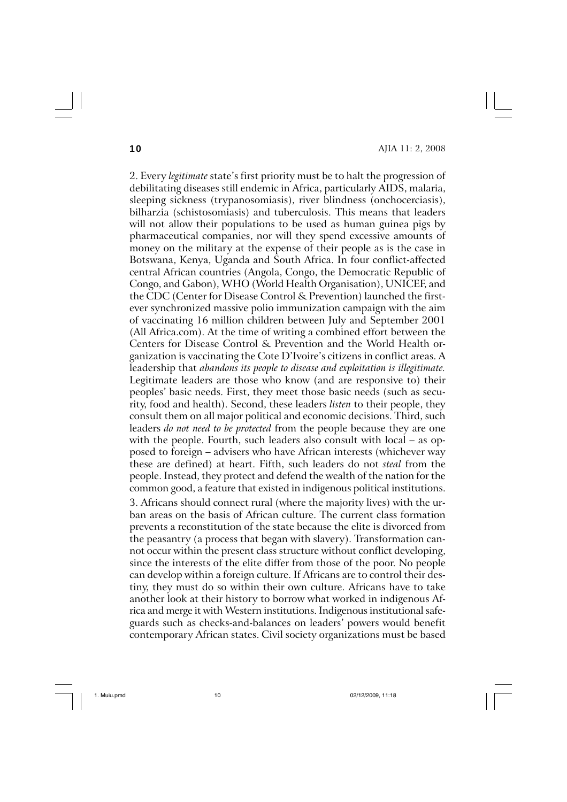**10** AJIA 11: 2, 2008

2. Every *legitimate* state's first priority must be to halt the progression of debilitating diseases still endemic in Africa, particularly AIDS, malaria, sleeping sickness (trypanosomiasis), river blindness (onchocerciasis), bilharzia (schistosomiasis) and tuberculosis. This means that leaders will not allow their populations to be used as human guinea pigs by pharmaceutical companies, nor will they spend excessive amounts of money on the military at the expense of their people as is the case in Botswana, Kenya, Uganda and South Africa. In four conflict-affected central African countries (Angola, Congo, the Democratic Republic of Congo, and Gabon), WHO (World Health Organisation), UNICEF, and the CDC (Center for Disease Control & Prevention) launched the firstever synchronized massive polio immunization campaign with the aim of vaccinating 16 million children between July and September 2001 (All Africa.com). At the time of writing a combined effort between the Centers for Disease Control & Prevention and the World Health organization is vaccinating the Cote D'Ivoire's citizens in conflict areas. A leadership that *abandons its people to disease and exploitation is illegitimate.* Legitimate leaders are those who know (and are responsive to) their peoples' basic needs. First, they meet those basic needs (such as security, food and health). Second, these leaders *listen* to their people, they consult them on all major political and economic decisions. Third, such leaders *do not need to be protected* from the people because they are one with the people. Fourth, such leaders also consult with local – as opposed to foreign – advisers who have African interests (whichever way these are defined) at heart. Fifth, such leaders do not *steal* from the people. Instead, they protect and defend the wealth of the nation for the common good, a feature that existed in indigenous political institutions. 3. Africans should connect rural (where the majority lives) with the ur-

ban areas on the basis of African culture. The current class formation prevents a reconstitution of the state because the elite is divorced from the peasantry (a process that began with slavery). Transformation cannot occur within the present class structure without conflict developing, since the interests of the elite differ from those of the poor. No people can develop within a foreign culture. If Africans are to control their destiny, they must do so within their own culture. Africans have to take another look at their history to borrow what worked in indigenous Africa and merge it with Western institutions. Indigenous institutional safeguards such as checks-and-balances on leaders' powers would benefit contemporary African states. Civil society organizations must be based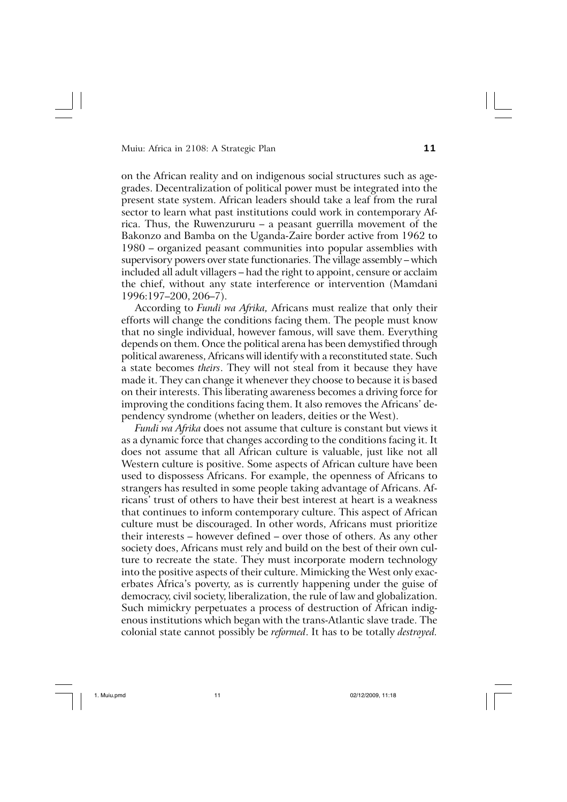on the African reality and on indigenous social structures such as agegrades. Decentralization of political power must be integrated into the present state system. African leaders should take a leaf from the rural sector to learn what past institutions could work in contemporary Africa. Thus, the Ruwenzururu – a peasant guerrilla movement of the Bakonzo and Bamba on the Uganda-Zaire border active from 1962 to 1980 – organized peasant communities into popular assemblies with supervisory powers over state functionaries. The village assembly – which included all adult villagers – had the right to appoint, censure or acclaim the chief, without any state interference or intervention (Mamdani 1996:197–200, 206–7).

According to *Fundi wa Afrika,* Africans must realize that only their efforts will change the conditions facing them. The people must know that no single individual, however famous, will save them. Everything depends on them. Once the political arena has been demystified through political awareness, Africans will identify with a reconstituted state. Such a state becomes *theirs*. They will not steal from it because they have made it. They can change it whenever they choose to because it is based on their interests. This liberating awareness becomes a driving force for improving the conditions facing them. It also removes the Africans' dependency syndrome (whether on leaders, deities or the West).

*Fundi wa Afrika* does not assume that culture is constant but views it as a dynamic force that changes according to the conditions facing it. It does not assume that all African culture is valuable, just like not all Western culture is positive. Some aspects of African culture have been used to dispossess Africans. For example, the openness of Africans to strangers has resulted in some people taking advantage of Africans. Africans' trust of others to have their best interest at heart is a weakness that continues to inform contemporary culture. This aspect of African culture must be discouraged. In other words, Africans must prioritize their interests – however defined – over those of others. As any other society does, Africans must rely and build on the best of their own culture to recreate the state. They must incorporate modern technology into the positive aspects of their culture. Mimicking the West only exacerbates Africa's poverty, as is currently happening under the guise of democracy, civil society, liberalization, the rule of law and globalization. Such mimickry perpetuates a process of destruction of African indigenous institutions which began with the trans-Atlantic slave trade. The colonial state cannot possibly be *reformed*. It has to be totally *destroyed.*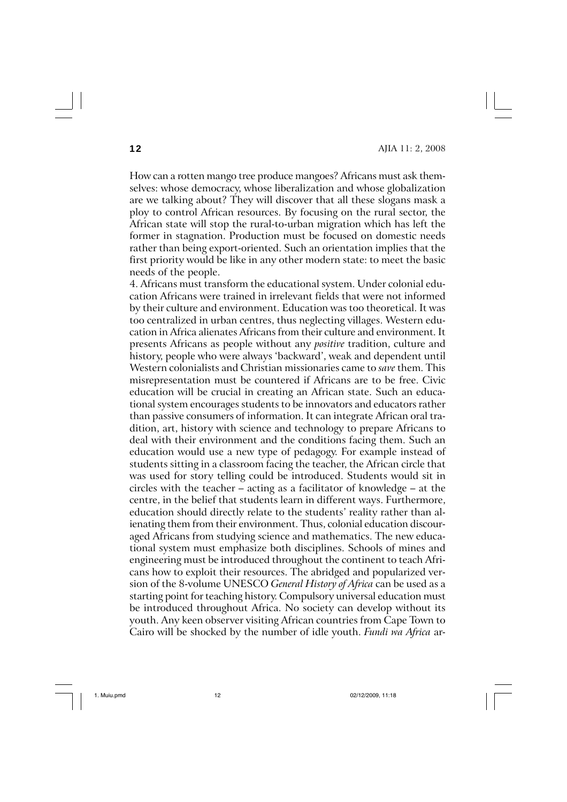How can a rotten mango tree produce mangoes? Africans must ask themselves: whose democracy, whose liberalization and whose globalization are we talking about? They will discover that all these slogans mask a ploy to control African resources. By focusing on the rural sector, the African state will stop the rural-to-urban migration which has left the former in stagnation. Production must be focused on domestic needs rather than being export-oriented. Such an orientation implies that the first priority would be like in any other modern state: to meet the basic needs of the people.

4. Africans must transform the educational system. Under colonial education Africans were trained in irrelevant fields that were not informed by their culture and environment. Education was too theoretical. It was too centralized in urban centres, thus neglecting villages. Western education in Africa alienates Africans from their culture and environment. It presents Africans as people without any *positive* tradition, culture and history, people who were always 'backward', weak and dependent until Western colonialists and Christian missionaries came to *save* them. This misrepresentation must be countered if Africans are to be free. Civic education will be crucial in creating an African state. Such an educational system encourages students to be innovators and educators rather than passive consumers of information. It can integrate African oral tradition, art, history with science and technology to prepare Africans to deal with their environment and the conditions facing them. Such an education would use a new type of pedagogy. For example instead of students sitting in a classroom facing the teacher, the African circle that was used for story telling could be introduced. Students would sit in circles with the teacher – acting as a facilitator of knowledge – at the centre, in the belief that students learn in different ways. Furthermore, education should directly relate to the students' reality rather than alienating them from their environment. Thus, colonial education discouraged Africans from studying science and mathematics. The new educational system must emphasize both disciplines. Schools of mines and engineering must be introduced throughout the continent to teach Africans how to exploit their resources. The abridged and popularized version of the 8-volume UNESCO *General History of Africa* can be used as a starting point for teaching history. Compulsory universal education must be introduced throughout Africa. No society can develop without its youth. Any keen observer visiting African countries from Cape Town to Cairo will be shocked by the number of idle youth. *Fundi wa Africa* ar-

1. Muiu.pmd 12 02/12/2009, 11:18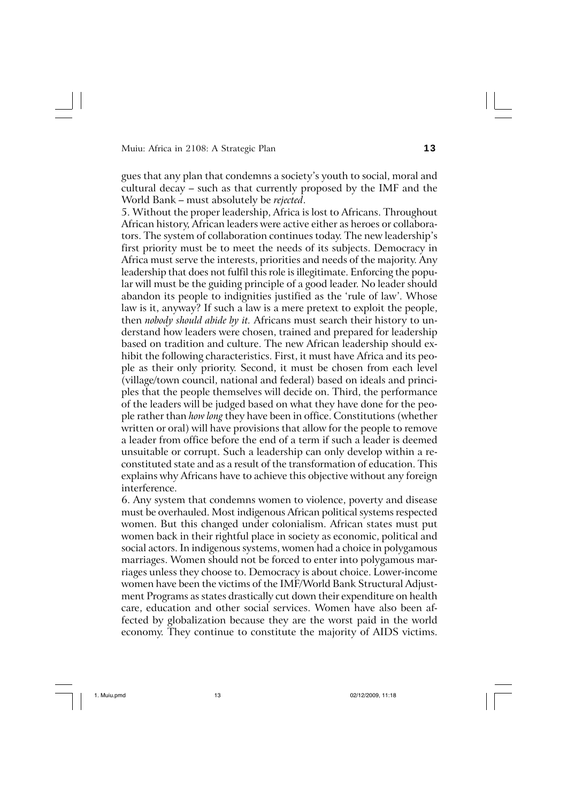gues that any plan that condemns a society's youth to social, moral and cultural decay – such as that currently proposed by the IMF and the World Bank – must absolutely be *rejected*.

5. Without the proper leadership, Africa is lost to Africans. Throughout African history, African leaders were active either as heroes or collaborators. The system of collaboration continues today. The new leadership's first priority must be to meet the needs of its subjects. Democracy in Africa must serve the interests, priorities and needs of the majority. Any leadership that does not fulfil this role is illegitimate. Enforcing the popular will must be the guiding principle of a good leader. No leader should abandon its people to indignities justified as the 'rule of law'. Whose law is it, anyway? If such a law is a mere pretext to exploit the people, then *nobody should abide by it.* Africans must search their history to understand how leaders were chosen, trained and prepared for leadership based on tradition and culture. The new African leadership should exhibit the following characteristics. First, it must have Africa and its people as their only priority. Second, it must be chosen from each level (village/town council, national and federal) based on ideals and principles that the people themselves will decide on. Third, the performance of the leaders will be judged based on what they have done for the people rather than *how long* they have been in office. Constitutions (whether written or oral) will have provisions that allow for the people to remove a leader from office before the end of a term if such a leader is deemed unsuitable or corrupt. Such a leadership can only develop within a reconstituted state and as a result of the transformation of education. This explains why Africans have to achieve this objective without any foreign interference.

6. Any system that condemns women to violence, poverty and disease must be overhauled. Most indigenous African political systems respected women. But this changed under colonialism. African states must put women back in their rightful place in society as economic, political and social actors. In indigenous systems, women had a choice in polygamous marriages. Women should not be forced to enter into polygamous marriages unless they choose to. Democracy is about choice. Lower-income women have been the victims of the IMF/World Bank Structural Adjustment Programs as states drastically cut down their expenditure on health care, education and other social services. Women have also been affected by globalization because they are the worst paid in the world economy. They continue to constitute the majority of AIDS victims.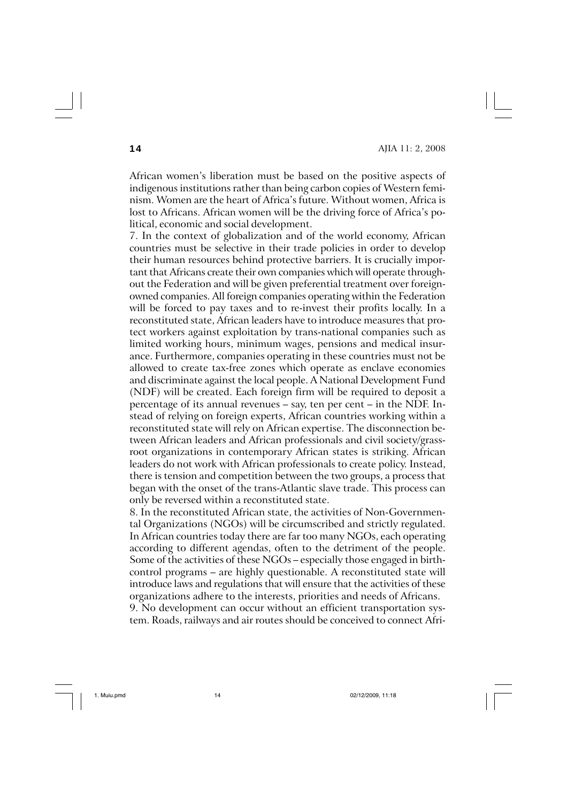**14** AJIA 11: 2, 2008

African women's liberation must be based on the positive aspects of indigenous institutions rather than being carbon copies of Western feminism. Women are the heart of Africa's future. Without women, Africa is lost to Africans. African women will be the driving force of Africa's political, economic and social development.

7. In the context of globalization and of the world economy, African countries must be selective in their trade policies in order to develop their human resources behind protective barriers. It is crucially important that Africans create their own companies which will operate throughout the Federation and will be given preferential treatment over foreignowned companies. All foreign companies operating within the Federation will be forced to pay taxes and to re-invest their profits locally. In a reconstituted state, African leaders have to introduce measures that protect workers against exploitation by trans-national companies such as limited working hours, minimum wages, pensions and medical insurance. Furthermore, companies operating in these countries must not be allowed to create tax-free zones which operate as enclave economies and discriminate against the local people. A National Development Fund (NDF) will be created. Each foreign firm will be required to deposit a percentage of its annual revenues – say, ten per cent – in the NDF. Instead of relying on foreign experts, African countries working within a reconstituted state will rely on African expertise. The disconnection between African leaders and African professionals and civil society/grassroot organizations in contemporary African states is striking. African leaders do not work with African professionals to create policy. Instead, there is tension and competition between the two groups, a process that began with the onset of the trans-Atlantic slave trade. This process can only be reversed within a reconstituted state.

8. In the reconstituted African state, the activities of Non-Governmental Organizations (NGOs) will be circumscribed and strictly regulated. In African countries today there are far too many NGOs, each operating according to different agendas, often to the detriment of the people. Some of the activities of these NGOs – especially those engaged in birthcontrol programs – are highly questionable. A reconstituted state will introduce laws and regulations that will ensure that the activities of these organizations adhere to the interests, priorities and needs of Africans.

9. No development can occur without an efficient transportation system. Roads, railways and air routes should be conceived to connect Afri-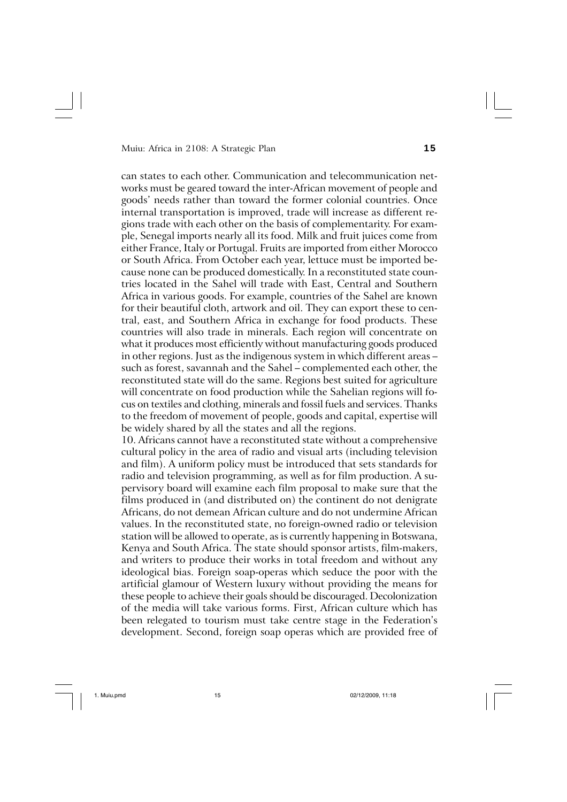can states to each other. Communication and telecommunication networks must be geared toward the inter-African movement of people and goods' needs rather than toward the former colonial countries. Once internal transportation is improved, trade will increase as different regions trade with each other on the basis of complementarity. For example, Senegal imports nearly all its food. Milk and fruit juices come from either France, Italy or Portugal. Fruits are imported from either Morocco or South Africa. From October each year, lettuce must be imported because none can be produced domestically. In a reconstituted state countries located in the Sahel will trade with East, Central and Southern Africa in various goods. For example, countries of the Sahel are known for their beautiful cloth, artwork and oil. They can export these to central, east, and Southern Africa in exchange for food products. These countries will also trade in minerals. Each region will concentrate on what it produces most efficiently without manufacturing goods produced in other regions. Just as the indigenous system in which different areas – such as forest, savannah and the Sahel – complemented each other, the reconstituted state will do the same. Regions best suited for agriculture will concentrate on food production while the Sahelian regions will focus on textiles and clothing, minerals and fossil fuels and services. Thanks to the freedom of movement of people, goods and capital, expertise will be widely shared by all the states and all the regions.

10. Africans cannot have a reconstituted state without a comprehensive cultural policy in the area of radio and visual arts (including television and film). A uniform policy must be introduced that sets standards for radio and television programming, as well as for film production. A supervisory board will examine each film proposal to make sure that the films produced in (and distributed on) the continent do not denigrate Africans, do not demean African culture and do not undermine African values. In the reconstituted state, no foreign-owned radio or television station will be allowed to operate, as is currently happening in Botswana, Kenya and South Africa. The state should sponsor artists, film-makers, and writers to produce their works in total freedom and without any ideological bias. Foreign soap-operas which seduce the poor with the artificial glamour of Western luxury without providing the means for these people to achieve their goals should be discouraged. Decolonization of the media will take various forms. First, African culture which has been relegated to tourism must take centre stage in the Federation's development. Second, foreign soap operas which are provided free of

1. Muiu.pmd 15 02/12/2009, 11:18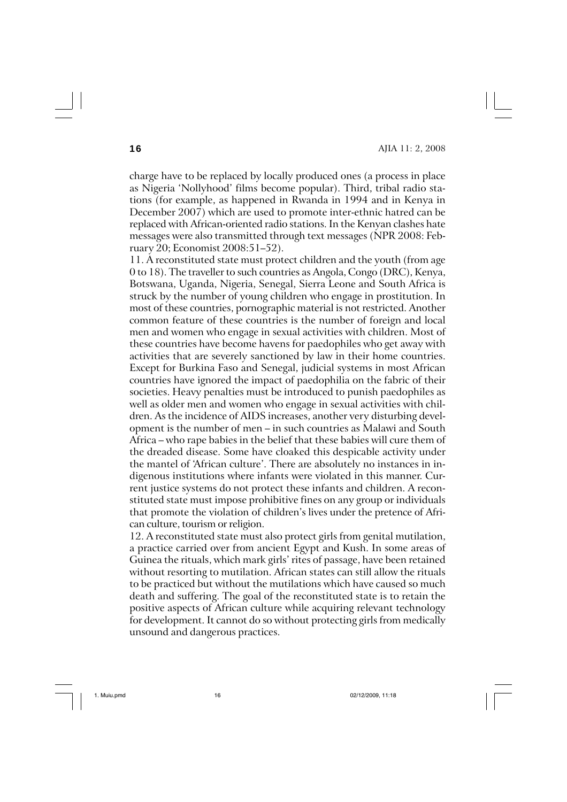charge have to be replaced by locally produced ones (a process in place as Nigeria 'Nollyhood' films become popular). Third, tribal radio stations (for example, as happened in Rwanda in 1994 and in Kenya in December 2007) which are used to promote inter-ethnic hatred can be replaced with African-oriented radio stations. In the Kenyan clashes hate messages were also transmitted through text messages (NPR 2008: February 20; Economist 2008:51–52).

11. A reconstituted state must protect children and the youth (from age 0 to 18). The traveller to such countries as Angola, Congo (DRC), Kenya, Botswana, Uganda, Nigeria, Senegal, Sierra Leone and South Africa is struck by the number of young children who engage in prostitution. In most of these countries, pornographic material is not restricted. Another common feature of these countries is the number of foreign and local men and women who engage in sexual activities with children. Most of these countries have become havens for paedophiles who get away with activities that are severely sanctioned by law in their home countries. Except for Burkina Faso and Senegal, judicial systems in most African countries have ignored the impact of paedophilia on the fabric of their societies. Heavy penalties must be introduced to punish paedophiles as well as older men and women who engage in sexual activities with children. As the incidence of AIDS increases, another very disturbing development is the number of men – in such countries as Malawi and South Africa – who rape babies in the belief that these babies will cure them of the dreaded disease. Some have cloaked this despicable activity under the mantel of 'African culture'. There are absolutely no instances in indigenous institutions where infants were violated in this manner. Current justice systems do not protect these infants and children. A reconstituted state must impose prohibitive fines on any group or individuals that promote the violation of children's lives under the pretence of African culture, tourism or religion.

12. A reconstituted state must also protect girls from genital mutilation, a practice carried over from ancient Egypt and Kush. In some areas of Guinea the rituals, which mark girls' rites of passage, have been retained without resorting to mutilation. African states can still allow the rituals to be practiced but without the mutilations which have caused so much death and suffering. The goal of the reconstituted state is to retain the positive aspects of African culture while acquiring relevant technology for development. It cannot do so without protecting girls from medically unsound and dangerous practices.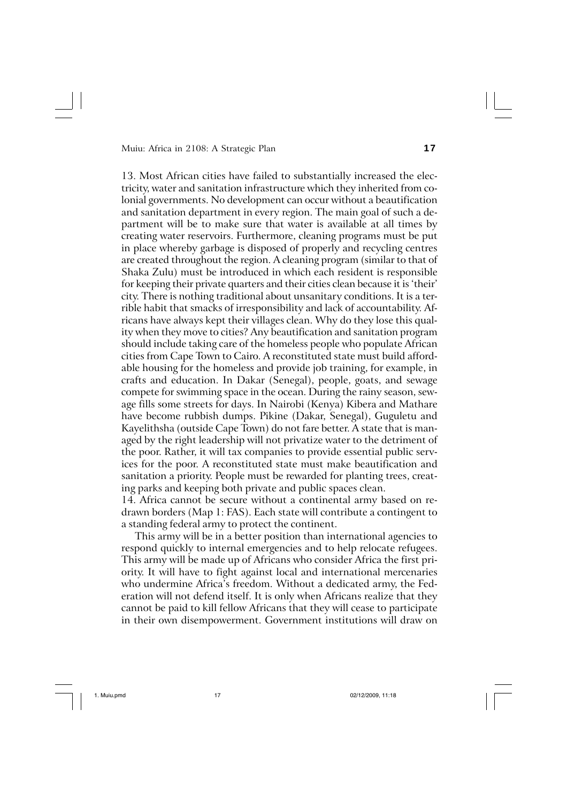13. Most African cities have failed to substantially increased the electricity, water and sanitation infrastructure which they inherited from colonial governments. No development can occur without a beautification and sanitation department in every region. The main goal of such a department will be to make sure that water is available at all times by creating water reservoirs. Furthermore, cleaning programs must be put in place whereby garbage is disposed of properly and recycling centres are created throughout the region. A cleaning program (similar to that of Shaka Zulu) must be introduced in which each resident is responsible for keeping their private quarters and their cities clean because it is 'their' city. There is nothing traditional about unsanitary conditions. It is a terrible habit that smacks of irresponsibility and lack of accountability. Africans have always kept their villages clean. Why do they lose this quality when they move to cities? Any beautification and sanitation program should include taking care of the homeless people who populate African cities from Cape Town to Cairo. A reconstituted state must build affordable housing for the homeless and provide job training, for example, in crafts and education. In Dakar (Senegal), people, goats, and sewage compete for swimming space in the ocean. During the rainy season, sewage fills some streets for days. In Nairobi (Kenya) Kibera and Mathare have become rubbish dumps. Pikine (Dakar, Senegal), Guguletu and Kayelithsha (outside Cape Town) do not fare better. A state that is managed by the right leadership will not privatize water to the detriment of the poor. Rather, it will tax companies to provide essential public services for the poor. A reconstituted state must make beautification and sanitation a priority. People must be rewarded for planting trees, creating parks and keeping both private and public spaces clean.

14. Africa cannot be secure without a continental army based on redrawn borders (Map 1: FAS). Each state will contribute a contingent to a standing federal army to protect the continent.

This army will be in a better position than international agencies to respond quickly to internal emergencies and to help relocate refugees. This army will be made up of Africans who consider Africa the first priority. It will have to fight against local and international mercenaries who undermine Africa's freedom. Without a dedicated army, the Federation will not defend itself. It is only when Africans realize that they cannot be paid to kill fellow Africans that they will cease to participate in their own disempowerment. Government institutions will draw on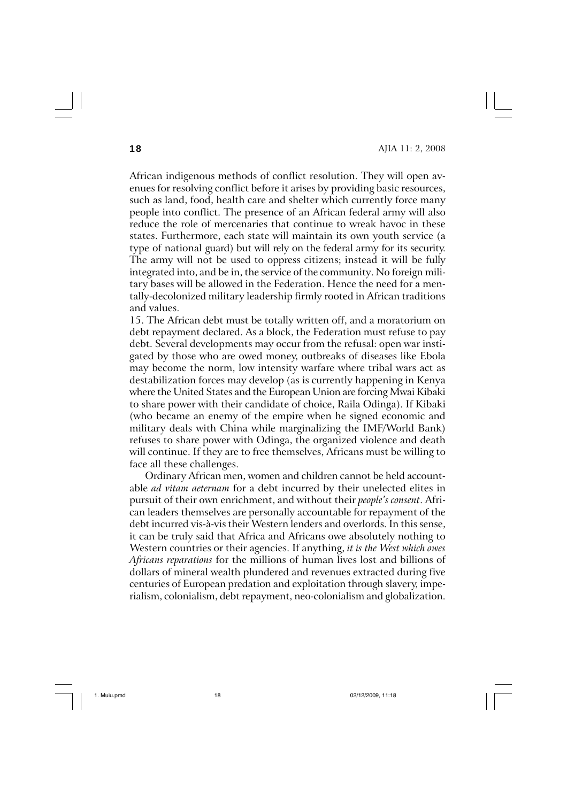**18** AJIA 11: 2, 2008

African indigenous methods of conflict resolution. They will open avenues for resolving conflict before it arises by providing basic resources, such as land, food, health care and shelter which currently force many people into conflict. The presence of an African federal army will also reduce the role of mercenaries that continue to wreak havoc in these states. Furthermore, each state will maintain its own youth service (a type of national guard) but will rely on the federal army for its security. The army will not be used to oppress citizens; instead it will be fully integrated into, and be in, the service of the community. No foreign military bases will be allowed in the Federation. Hence the need for a mentally-decolonized military leadership firmly rooted in African traditions and values.

15. The African debt must be totally written off, and a moratorium on debt repayment declared. As a block, the Federation must refuse to pay debt. Several developments may occur from the refusal: open war instigated by those who are owed money, outbreaks of diseases like Ebola may become the norm, low intensity warfare where tribal wars act as destabilization forces may develop (as is currently happening in Kenya where the United States and the European Union are forcing Mwai Kibaki to share power with their candidate of choice, Raila Odinga). If Kibaki (who became an enemy of the empire when he signed economic and military deals with China while marginalizing the IMF/World Bank) refuses to share power with Odinga, the organized violence and death will continue. If they are to free themselves, Africans must be willing to face all these challenges.

 Ordinary African men, women and children cannot be held accountable *ad vitam aeternam* for a debt incurred by their unelected elites in pursuit of their own enrichment, and without their *people's consent*. African leaders themselves are personally accountable for repayment of the debt incurred vis-à-vis their Western lenders and overlords. In this sense, it can be truly said that Africa and Africans owe absolutely nothing to Western countries or their agencies. If anything, *it is the West which owes Africans reparations* for the millions of human lives lost and billions of dollars of mineral wealth plundered and revenues extracted during five centuries of European predation and exploitation through slavery, imperialism, colonialism, debt repayment, neo-colonialism and globalization.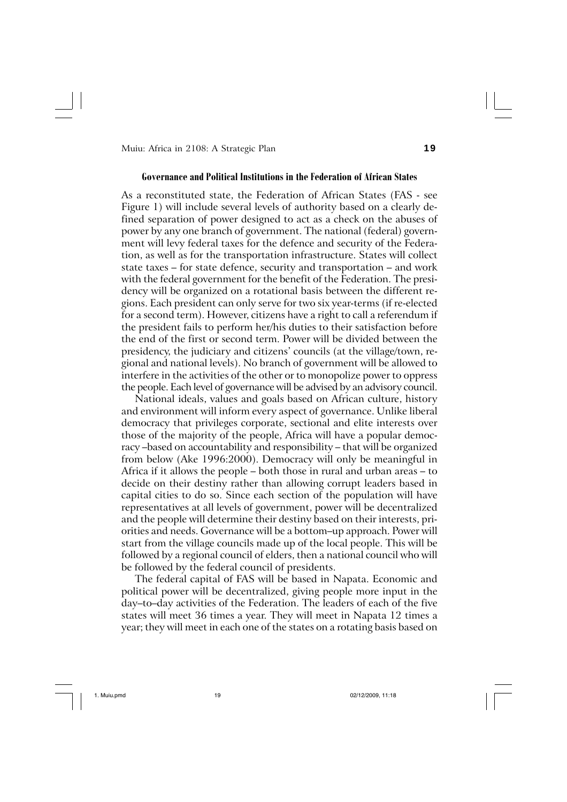#### **Governance and Political Institutions in the Federation of African States**

As a reconstituted state, the Federation of African States (FAS - see Figure 1) will include several levels of authority based on a clearly defined separation of power designed to act as a check on the abuses of power by any one branch of government. The national (federal) government will levy federal taxes for the defence and security of the Federation, as well as for the transportation infrastructure. States will collect state taxes – for state defence, security and transportation – and work with the federal government for the benefit of the Federation. The presidency will be organized on a rotational basis between the different regions. Each president can only serve for two six year-terms (if re-elected for a second term). However, citizens have a right to call a referendum if the president fails to perform her/his duties to their satisfaction before the end of the first or second term. Power will be divided between the presidency, the judiciary and citizens' councils (at the village/town, regional and national levels). No branch of government will be allowed to interfere in the activities of the other or to monopolize power to oppress the people. Each level of governance will be advised by an advisory council.

National ideals, values and goals based on African culture, history and environment will inform every aspect of governance. Unlike liberal democracy that privileges corporate, sectional and elite interests over those of the majority of the people, Africa will have a popular democracy –based on accountability and responsibility – that will be organized from below (Ake 1996:2000). Democracy will only be meaningful in Africa if it allows the people – both those in rural and urban areas – to decide on their destiny rather than allowing corrupt leaders based in capital cities to do so. Since each section of the population will have representatives at all levels of government, power will be decentralized and the people will determine their destiny based on their interests, priorities and needs. Governance will be a bottom–up approach. Power will start from the village councils made up of the local people. This will be followed by a regional council of elders, then a national council who will be followed by the federal council of presidents.

The federal capital of FAS will be based in Napata. Economic and political power will be decentralized, giving people more input in the day–to–day activities of the Federation. The leaders of each of the five states will meet 36 times a year. They will meet in Napata 12 times a year; they will meet in each one of the states on a rotating basis based on

1. Muiu.pmd 19 02/12/2009, 11:18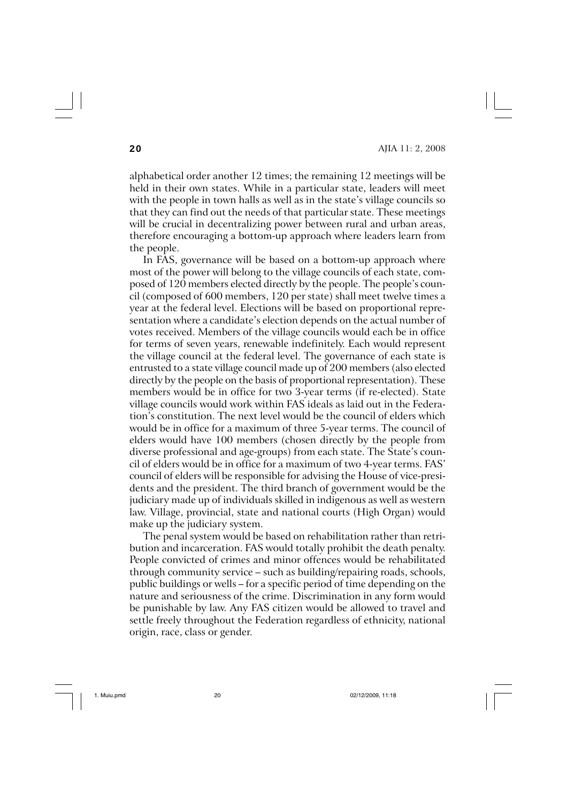alphabetical order another 12 times; the remaining 12 meetings will be held in their own states. While in a particular state, leaders will meet with the people in town halls as well as in the state's village councils so that they can find out the needs of that particular state. These meetings will be crucial in decentralizing power between rural and urban areas, therefore encouraging a bottom-up approach where leaders learn from the people.

In FAS, governance will be based on a bottom-up approach where most of the power will belong to the village councils of each state, composed of 120 members elected directly by the people. The people's council (composed of 600 members, 120 per state) shall meet twelve times a year at the federal level. Elections will be based on proportional representation where a candidate's election depends on the actual number of votes received. Members of the village councils would each be in office for terms of seven years, renewable indefinitely. Each would represent the village council at the federal level. The governance of each state is entrusted to a state village council made up of 200 members (also elected directly by the people on the basis of proportional representation). These members would be in office for two 3-year terms (if re-elected). State village councils would work within FAS ideals as laid out in the Federation's constitution. The next level would be the council of elders which would be in office for a maximum of three 5-year terms. The council of elders would have 100 members (chosen directly by the people from diverse professional and age-groups) from each state. The State's council of elders would be in office for a maximum of two 4-year terms. FAS' council of elders will be responsible for advising the House of vice-presidents and the president. The third branch of government would be the judiciary made up of individuals skilled in indigenous as well as western law. Village, provincial, state and national courts (High Organ) would make up the judiciary system.

The penal system would be based on rehabilitation rather than retribution and incarceration. FAS would totally prohibit the death penalty. People convicted of crimes and minor offences would be rehabilitated through community service – such as building/repairing roads, schools, public buildings or wells – for a specific period of time depending on the nature and seriousness of the crime. Discrimination in any form would be punishable by law. Any FAS citizen would be allowed to travel and settle freely throughout the Federation regardless of ethnicity, national origin, race, class or gender.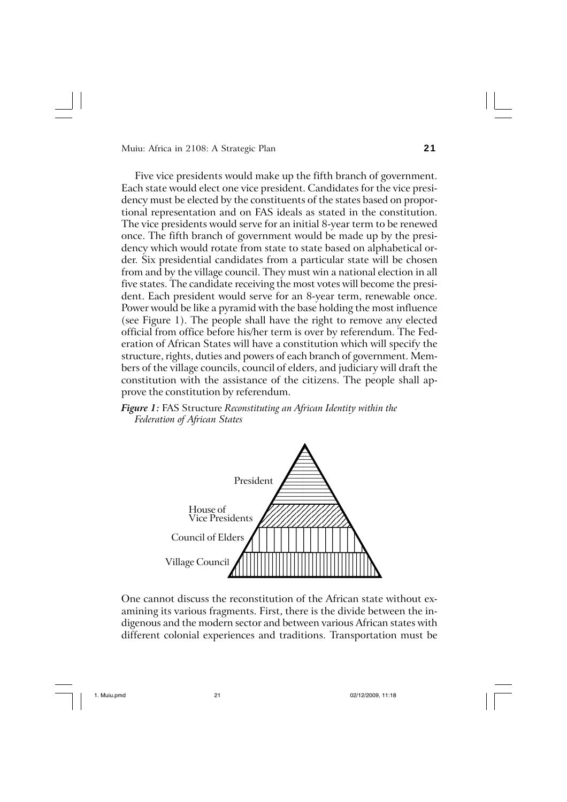Five vice presidents would make up the fifth branch of government. Each state would elect one vice president. Candidates for the vice presidency must be elected by the constituents of the states based on proportional representation and on FAS ideals as stated in the constitution. The vice presidents would serve for an initial 8-year term to be renewed once. The fifth branch of government would be made up by the presidency which would rotate from state to state based on alphabetical order. Six presidential candidates from a particular state will be chosen from and by the village council. They must win a national election in all five states. The candidate receiving the most votes will become the president. Each president would serve for an 8-year term, renewable once. Power would be like a pyramid with the base holding the most influence (see Figure 1). The people shall have the right to remove any elected official from office before his/her term is over by referendum. The Federation of African States will have a constitution which will specify the structure, rights, duties and powers of each branch of government. Members of the village councils, council of elders, and judiciary will draft the constitution with the assistance of the citizens. The people shall approve the constitution by referendum.

## *Figure 1:* FAS Structure *Reconstituting an African Identity within the Federation of African States*



One cannot discuss the reconstitution of the African state without examining its various fragments. First, there is the divide between the indigenous and the modern sector and between various African states with different colonial experiences and traditions. Transportation must be

1. Muiu.pmd 21 02/12/2009, 11:18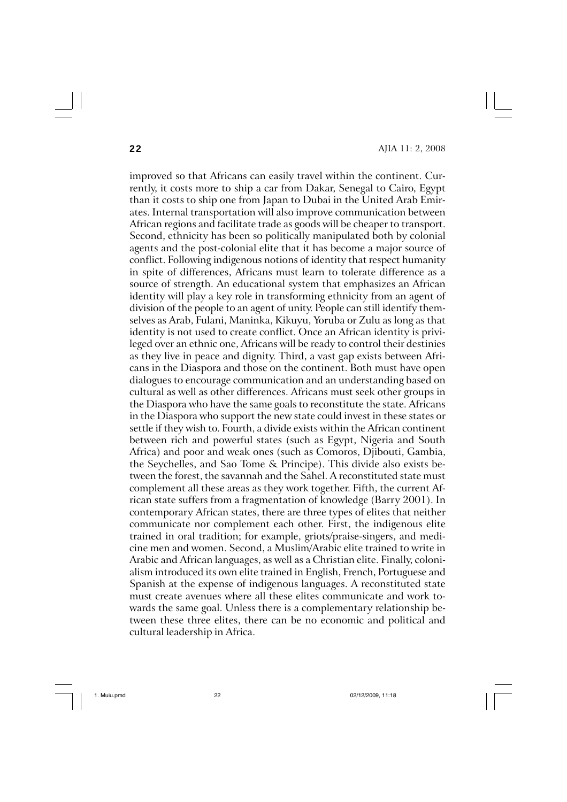22 AJIA 11: 2, 2008

improved so that Africans can easily travel within the continent. Currently, it costs more to ship a car from Dakar, Senegal to Cairo, Egypt than it costs to ship one from Japan to Dubai in the United Arab Emirates. Internal transportation will also improve communication between African regions and facilitate trade as goods will be cheaper to transport. Second, ethnicity has been so politically manipulated both by colonial agents and the post-colonial elite that it has become a major source of conflict. Following indigenous notions of identity that respect humanity in spite of differences, Africans must learn to tolerate difference as a source of strength. An educational system that emphasizes an African identity will play a key role in transforming ethnicity from an agent of division of the people to an agent of unity. People can still identify themselves as Arab, Fulani, Maninka, Kikuyu, Yoruba or Zulu as long as that identity is not used to create conflict. Once an African identity is privileged over an ethnic one, Africans will be ready to control their destinies as they live in peace and dignity. Third, a vast gap exists between Africans in the Diaspora and those on the continent. Both must have open dialogues to encourage communication and an understanding based on cultural as well as other differences. Africans must seek other groups in the Diaspora who have the same goals to reconstitute the state. Africans in the Diaspora who support the new state could invest in these states or settle if they wish to. Fourth, a divide exists within the African continent between rich and powerful states (such as Egypt, Nigeria and South Africa) and poor and weak ones (such as Comoros, Djibouti, Gambia, the Seychelles, and Sao Tome & Principe). This divide also exists between the forest, the savannah and the Sahel. A reconstituted state must complement all these areas as they work together. Fifth, the current African state suffers from a fragmentation of knowledge (Barry 2001). In contemporary African states, there are three types of elites that neither communicate nor complement each other. First, the indigenous elite trained in oral tradition; for example, griots/praise-singers, and medicine men and women. Second, a Muslim/Arabic elite trained to write in Arabic and African languages, as well as a Christian elite. Finally, colonialism introduced its own elite trained in English, French, Portuguese and Spanish at the expense of indigenous languages. A reconstituted state must create avenues where all these elites communicate and work towards the same goal. Unless there is a complementary relationship between these three elites, there can be no economic and political and cultural leadership in Africa.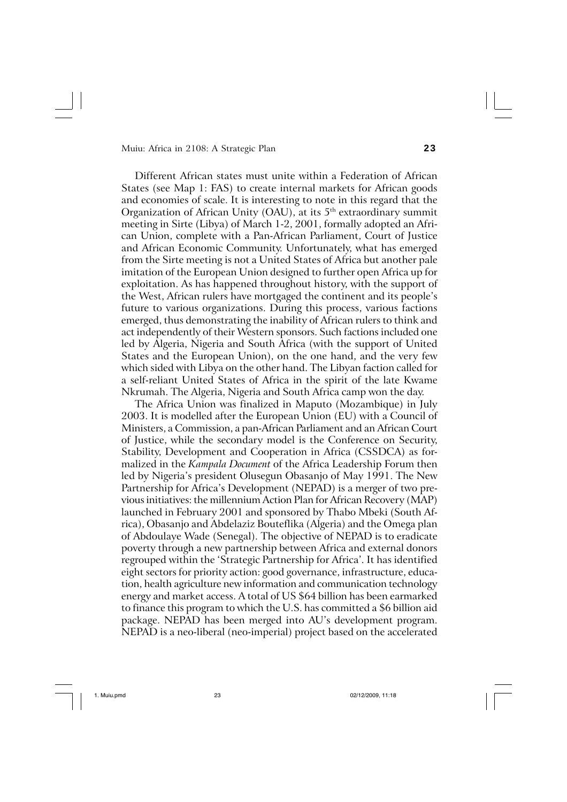Different African states must unite within a Federation of African States (see Map 1: FAS) to create internal markets for African goods and economies of scale. It is interesting to note in this regard that the Organization of African Unity (OAU), at its  $5<sup>th</sup>$  extraordinary summit meeting in Sirte (Libya) of March 1-2, 2001, formally adopted an African Union, complete with a Pan-African Parliament, Court of Justice and African Economic Community. Unfortunately, what has emerged from the Sirte meeting is not a United States of Africa but another pale imitation of the European Union designed to further open Africa up for exploitation. As has happened throughout history, with the support of the West, African rulers have mortgaged the continent and its people's future to various organizations. During this process, various factions emerged, thus demonstrating the inability of African rulers to think and act independently of their Western sponsors. Such factions included one led by Algeria, Nigeria and South Africa (with the support of United States and the European Union), on the one hand, and the very few which sided with Libya on the other hand. The Libyan faction called for a self-reliant United States of Africa in the spirit of the late Kwame Nkrumah. The Algeria, Nigeria and South Africa camp won the day.

The Africa Union was finalized in Maputo (Mozambique) in July 2003. It is modelled after the European Union (EU) with a Council of Ministers, a Commission, a pan-African Parliament and an African Court of Justice, while the secondary model is the Conference on Security, Stability, Development and Cooperation in Africa (CSSDCA) as formalized in the *Kampala Document* of the Africa Leadership Forum then led by Nigeria's president Olusegun Obasanjo of May 1991. The New Partnership for Africa's Development (NEPAD) is a merger of two previous initiatives: the millennium Action Plan for African Recovery (MAP) launched in February 2001 and sponsored by Thabo Mbeki (South Africa), Obasanjo and Abdelaziz Bouteflika (Algeria) and the Omega plan of Abdoulaye Wade (Senegal). The objective of NEPAD is to eradicate poverty through a new partnership between Africa and external donors regrouped within the 'Strategic Partnership for Africa'. It has identified eight sectors for priority action: good governance, infrastructure, education, health agriculture new information and communication technology energy and market access. A total of US \$64 billion has been earmarked to finance this program to which the U.S. has committed a \$6 billion aid package. NEPAD has been merged into AU's development program. NEPAD is a neo-liberal (neo-imperial) project based on the accelerated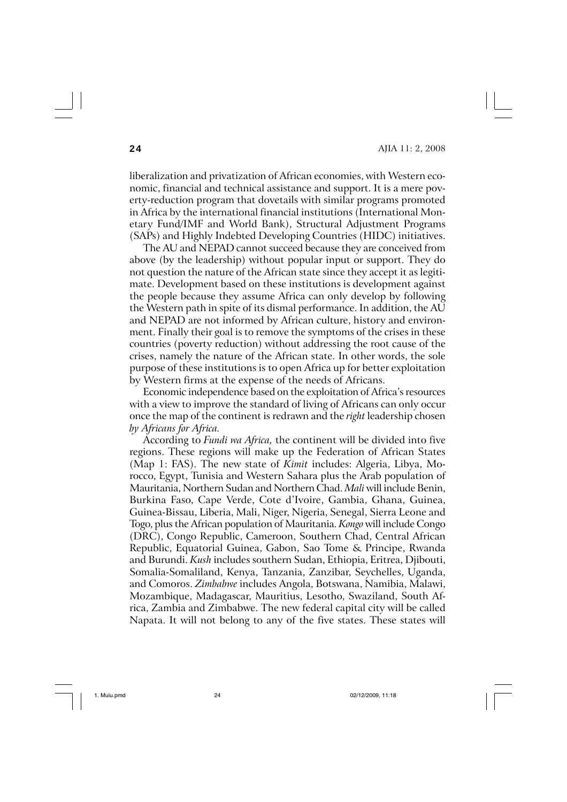liberalization and privatization of African economies, with Western economic, financial and technical assistance and support. It is a mere poverty-reduction program that dovetails with similar programs promoted in Africa by the international financial institutions (International Monetary Fund/IMF and World Bank), Structural Adjustment Programs (SAPs) and Highly Indebted Developing Countries (HIDC) initiatives.

The AU and NEPAD cannot succeed because they are conceived from above (by the leadership) without popular input or support. They do not question the nature of the African state since they accept it as legitimate. Development based on these institutions is development against the people because they assume Africa can only develop by following the Western path in spite of its dismal performance. In addition, the AU and NEPAD are not informed by African culture, history and environment. Finally their goal is to remove the symptoms of the crises in these countries (poverty reduction) without addressing the root cause of the crises, namely the nature of the African state. In other words, the sole purpose of these institutions is to open Africa up for better exploitation by Western firms at the expense of the needs of Africans.

Economic independence based on the exploitation of Africa's resources with a view to improve the standard of living of Africans can only occur once the map of the continent is redrawn and the *right* leadership chosen *by Africans for Africa.*

According to *Fundi wa Africa,* the continent will be divided into five regions. These regions will make up the Federation of African States (Map 1: FAS). The new state of *Kimit* includes: Algeria, Libya, Morocco, Egypt, Tunisia and Western Sahara plus the Arab population of Mauritania, Northern Sudan and Northern Chad. *Mali* will include Benin, Burkina Faso, Cape Verde, Cote d'Ivoire, Gambia, Ghana, Guinea, Guinea-Bissau, Liberia, Mali, Niger, Nigeria, Senegal, Sierra Leone and Togo, plus the African population of Mauritania. *Kongo* will include Congo (DRC), Congo Republic, Cameroon, Southern Chad, Central African Republic, Equatorial Guinea, Gabon, Sao Tome & Principe, Rwanda and Burundi. *Kush* includes southern Sudan, Ethiopia, Eritrea, Djibouti, Somalia-Somaliland, Kenya, Tanzania, Zanzibar, Seychelles, Uganda, and Comoros. *Zimbabwe* includes Angola, Botswana, Namibia, Malawi, Mozambique, Madagascar, Mauritius, Lesotho, Swaziland, South Africa, Zambia and Zimbabwe. The new federal capital city will be called Napata. It will not belong to any of the five states. These states will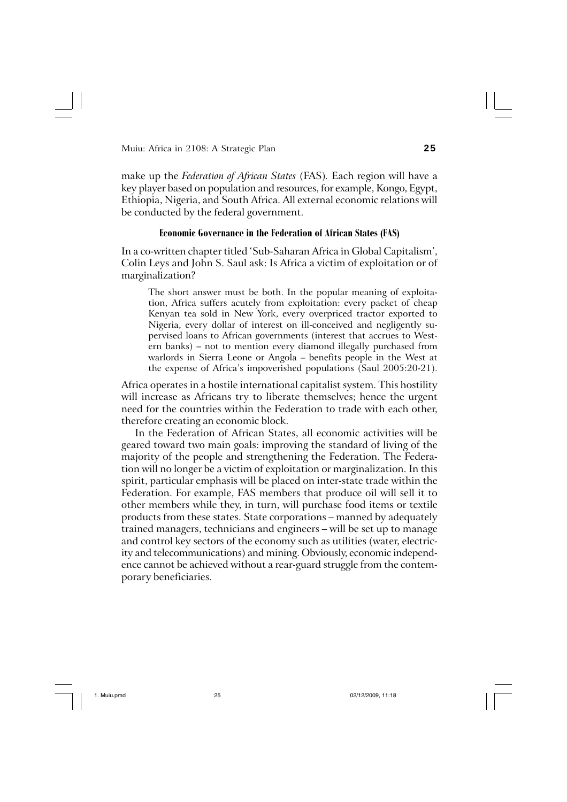make up the *Federation of African States* (FAS)*.* Each region will have a key player based on population and resources, for example, Kongo, Egypt, Ethiopia, Nigeria, and South Africa. All external economic relations will be conducted by the federal government.

## **Economic Governance in the Federation of African States (FAS)**

In a co-written chapter titled 'Sub-Saharan Africa in Global Capitalism', Colin Leys and John S. Saul ask: Is Africa a victim of exploitation or of marginalization?

The short answer must be both. In the popular meaning of exploitation, Africa suffers acutely from exploitation: every packet of cheap Kenyan tea sold in New York, every overpriced tractor exported to Nigeria, every dollar of interest on ill-conceived and negligently supervised loans to African governments (interest that accrues to Western banks) – not to mention every diamond illegally purchased from warlords in Sierra Leone or Angola – benefits people in the West at the expense of Africa's impoverished populations (Saul 2005:20-21).

Africa operates in a hostile international capitalist system. This hostility will increase as Africans try to liberate themselves; hence the urgent need for the countries within the Federation to trade with each other, therefore creating an economic block.

In the Federation of African States, all economic activities will be geared toward two main goals: improving the standard of living of the majority of the people and strengthening the Federation. The Federation will no longer be a victim of exploitation or marginalization. In this spirit, particular emphasis will be placed on inter-state trade within the Federation. For example, FAS members that produce oil will sell it to other members while they, in turn, will purchase food items or textile products from these states. State corporations – manned by adequately trained managers, technicians and engineers – will be set up to manage and control key sectors of the economy such as utilities (water, electricity and telecommunications) and mining. Obviously, economic independence cannot be achieved without a rear-guard struggle from the contemporary beneficiaries.

1. Muiu.pmd 25 02/12/2009, 11:18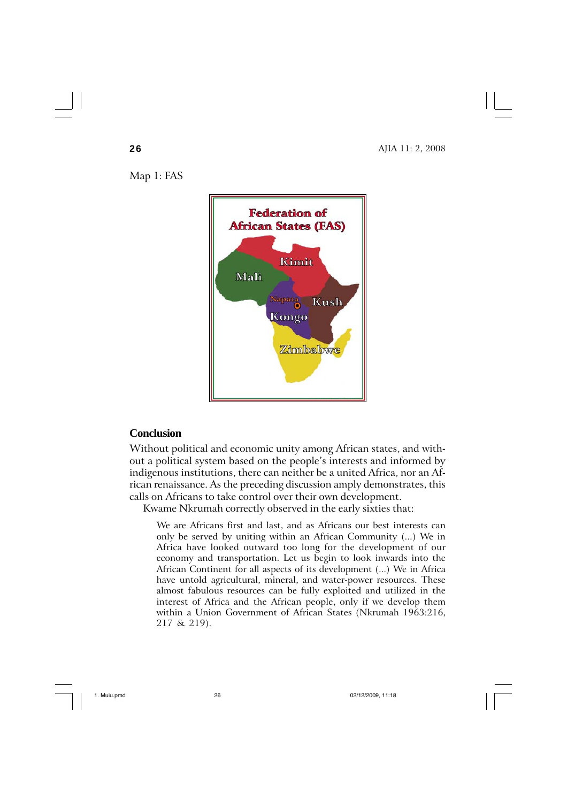Map 1: FAS



## **Conclusion**

Without political and economic unity among African states, and without a political system based on the people's interests and informed by indigenous institutions, there can neither be a united Africa, nor an African renaissance. As the preceding discussion amply demonstrates, this calls on Africans to take control over their own development.

Kwame Nkrumah correctly observed in the early sixties that:

We are Africans first and last, and as Africans our best interests can only be served by uniting within an African Community (...) We in Africa have looked outward too long for the development of our economy and transportation. Let us begin to look inwards into the African Continent for all aspects of its development (...) We in Africa have untold agricultural, mineral, and water-power resources. These almost fabulous resources can be fully exploited and utilized in the interest of Africa and the African people, only if we develop them within a Union Government of African States (Nkrumah 1963:216, 217 & 219).

1. Muiu.pmd 26 02/12/2009, 11:18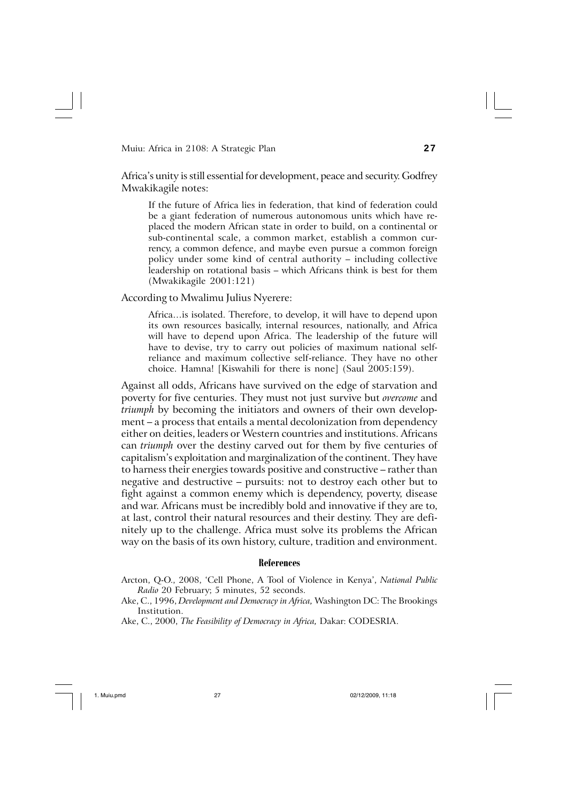Africa's unity is still essential for development, peace and security. Godfrey Mwakikagile notes:

If the future of Africa lies in federation, that kind of federation could be a giant federation of numerous autonomous units which have replaced the modern African state in order to build, on a continental or sub-continental scale, a common market, establish a common currency, a common defence, and maybe even pursue a common foreign policy under some kind of central authority – including collective leadership on rotational basis – which Africans think is best for them (Mwakikagile 2001:121)

According to Mwalimu Julius Nyerere:

Africa…is isolated. Therefore, to develop, it will have to depend upon its own resources basically, internal resources, nationally, and Africa will have to depend upon Africa. The leadership of the future will have to devise, try to carry out policies of maximum national selfreliance and maximum collective self-reliance. They have no other choice. Hamna! [Kiswahili for there is none] (Saul 2005:159).

Against all odds, Africans have survived on the edge of starvation and poverty for five centuries. They must not just survive but *overcome* and *triumph* by becoming the initiators and owners of their own development – a process that entails a mental decolonization from dependency either on deities, leaders or Western countries and institutions. Africans can *triumph* over the destiny carved out for them by five centuries of capitalism's exploitation and marginalization of the continent. They have to harness their energies towards positive and constructive – rather than negative and destructive – pursuits: not to destroy each other but to fight against a common enemy which is dependency, poverty, disease and war. Africans must be incredibly bold and innovative if they are to, at last, control their natural resources and their destiny. They are definitely up to the challenge. Africa must solve its problems the African way on the basis of its own history, culture, tradition and environment.

#### **References**

Arcton, Q-O., 2008, 'Cell Phone, A Tool of Violence in Kenya', *National Public Radio* 20 February; 5 minutes, 52 seconds.

Ake, C., 1996, *Development and Democracy in Africa,* Washington DC: The Brookings Institution.

Ake, C., 2000, *The Feasibility of Democracy in Africa,* Dakar: CODESRIA.